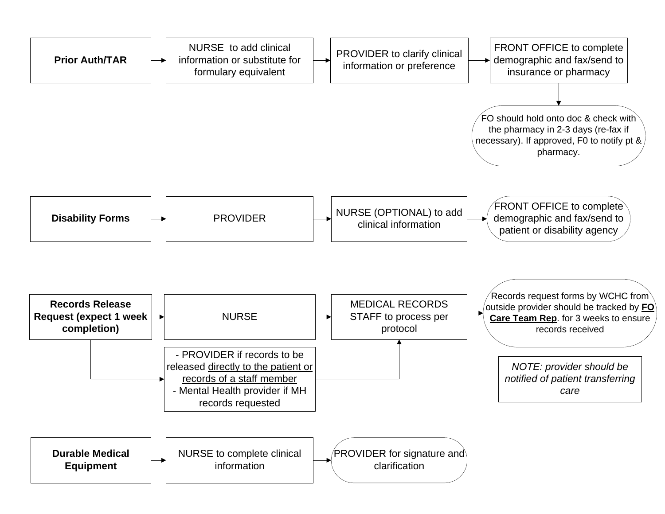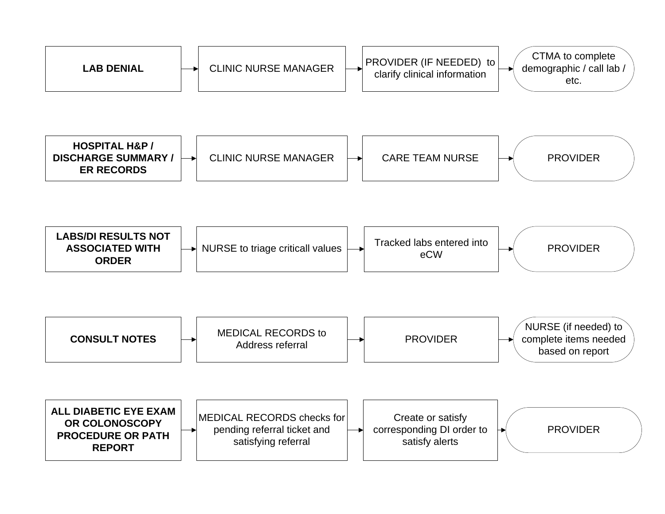